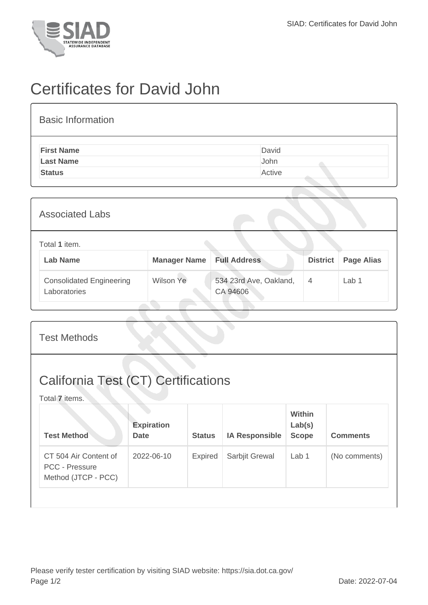

## Certificates for David John

| <b>Basic Information</b> |        |
|--------------------------|--------|
| <b>First Name</b>        | David  |
| <b>Last Name</b>         | John   |
| <b>Status</b>            | Active |
|                          |        |

| <b>Associated Labs</b>                          |                     |                                    |                 |                   |
|-------------------------------------------------|---------------------|------------------------------------|-----------------|-------------------|
| Total 1 item.<br><b>Lab Name</b>                | <b>Manager Name</b> | <b>Full Address</b>                | <b>District</b> | <b>Page Alias</b> |
| <b>Consolidated Engineering</b><br>Laboratories | Wilson Ye           | 534 23rd Ave, Oakland,<br>CA 94606 | $\overline{4}$  | Lab 1             |

| <b>California Test (CT) Certifications</b><br>Total 7 items.<br>Within<br><b>Expiration</b><br>Lab(s)<br><b>Test Method</b><br><b>Status</b><br><b>IA Responsible</b><br><b>Scope</b><br><b>Date</b> | <b>Test Methods</b> |  |  |  |  |                 |
|------------------------------------------------------------------------------------------------------------------------------------------------------------------------------------------------------|---------------------|--|--|--|--|-----------------|
|                                                                                                                                                                                                      |                     |  |  |  |  |                 |
|                                                                                                                                                                                                      |                     |  |  |  |  | <b>Comments</b> |
| CT 504 Air Content of<br>2022-06-10<br>Expired<br>Sarbjit Grewal<br>Lab 1<br><b>PCC - Pressure</b><br>Method (JTCP - PCC)                                                                            |                     |  |  |  |  | (No comments)   |